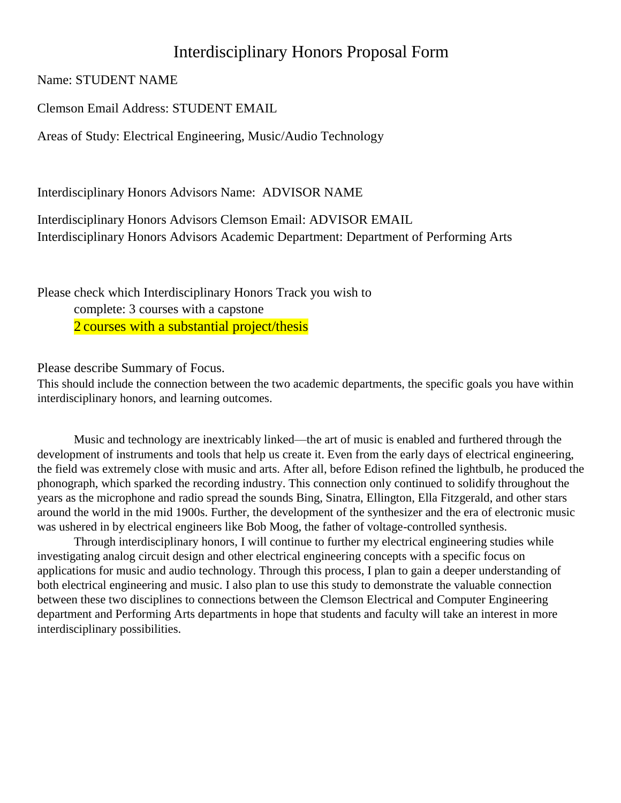## Interdisciplinary Honors Proposal Form

Name: STUDENT NAME

Clemson Email Address: STUDENT EMAIL

Areas of Study: Electrical Engineering, Music/Audio Technology

Interdisciplinary Honors Advisors Name: ADVISOR NAME

Interdisciplinary Honors Advisors Clemson Email: ADVISOR EMAIL Interdisciplinary Honors Advisors Academic Department: Department of Performing Arts

Please check which Interdisciplinary Honors Track you wish to complete: 3 courses with a capstone 2 courses with a substantial project/thesis

Please describe Summary of Focus.

This should include the connection between the two academic departments, the specific goals you have within interdisciplinary honors, and learning outcomes.

Music and technology are inextricably linked—the art of music is enabled and furthered through the development of instruments and tools that help us create it. Even from the early days of electrical engineering, the field was extremely close with music and arts. After all, before Edison refined the lightbulb, he produced the phonograph, which sparked the recording industry. This connection only continued to solidify throughout the years as the microphone and radio spread the sounds Bing, Sinatra, Ellington, Ella Fitzgerald, and other stars around the world in the mid 1900s. Further, the development of the synthesizer and the era of electronic music was ushered in by electrical engineers like Bob Moog, the father of voltage-controlled synthesis.

Through interdisciplinary honors, I will continue to further my electrical engineering studies while investigating analog circuit design and other electrical engineering concepts with a specific focus on applications for music and audio technology. Through this process, I plan to gain a deeper understanding of both electrical engineering and music. I also plan to use this study to demonstrate the valuable connection between these two disciplines to connections between the Clemson Electrical and Computer Engineering department and Performing Arts departments in hope that students and faculty will take an interest in more interdisciplinary possibilities.